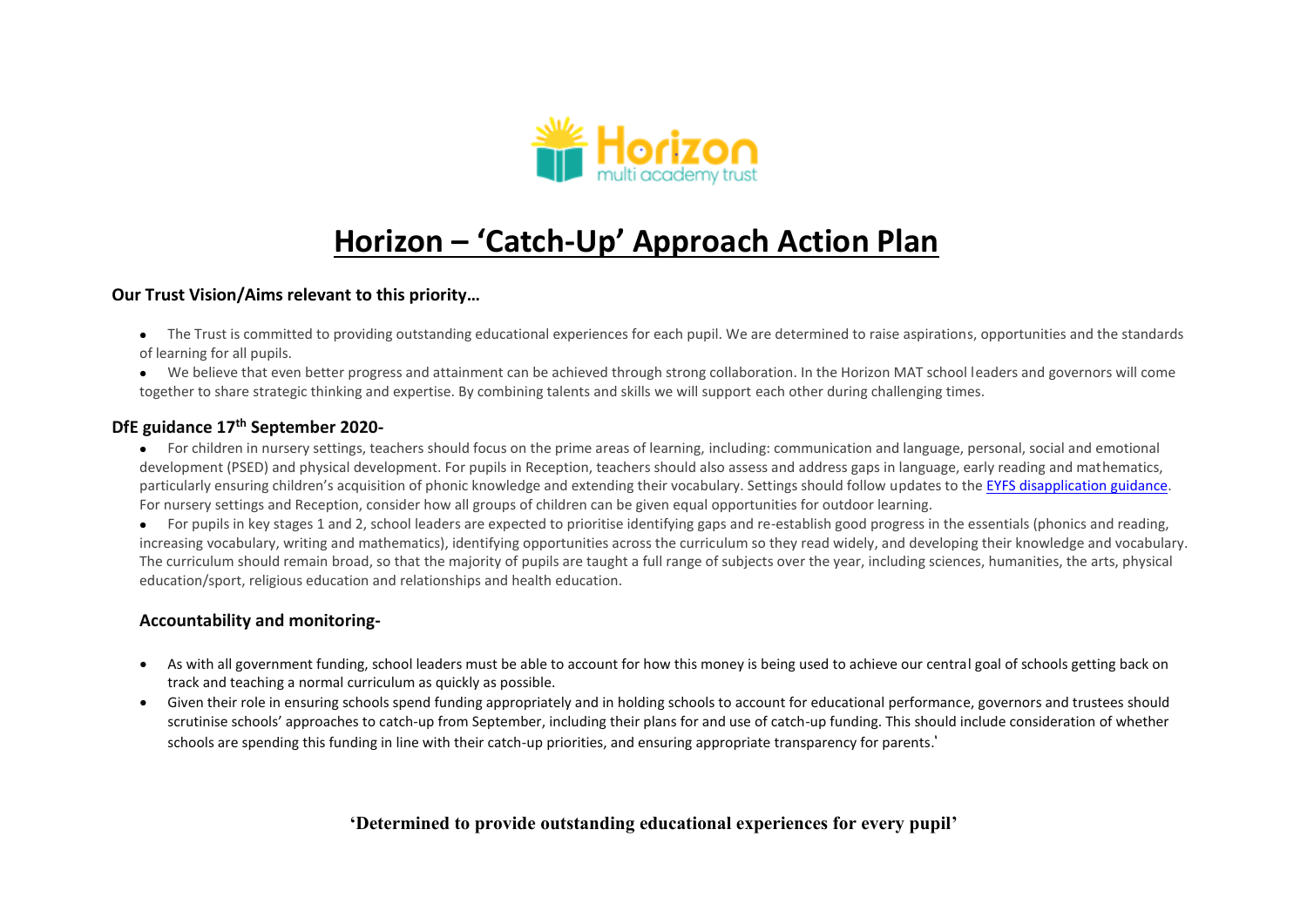

# **Horizon – 'Catch-Up' Approach Action Plan**

#### **Our Trust Vision/Aims relevant to this priority…**

- The Trust is committed to providing outstanding educational experiences for each pupil. We are determined to raise aspirations, opportunities and the standards of learning for all pupils.
- We believe that even better progress and attainment can be achieved through strong collaboration. In the Horizon MAT school leaders and governors will come together to share strategic thinking and expertise. By combining talents and skills we will support each other during challenging times.

### **DfE guidance 17th September 2020-**

- For children in nursery settings, teachers should focus on the prime areas of learning, including: communication and language, personal, social and emotional development (PSED) and physical development. For pupils in Reception, teachers should also assess and address gaps in language, early reading and mathematics, particularly ensuring children's acquisition of phonic knowledge and extending their vocabulary. Settings should follow updates to th[e EYFS disapplication guidance.](https://www.gov.uk/government/publications/early-years-foundation-stage-framework--2/early-years-foundation-stage-coronavirus-disapplications) For nursery settings and Reception, consider how all groups of children can be given equal opportunities for outdoor learning.
- For pupils in key stages 1 and 2, school leaders are expected to prioritise identifying gaps and re-establish good progress in the essentials (phonics and reading, increasing vocabulary, writing and mathematics), identifying opportunities across the curriculum so they read widely, and developing their knowledge and vocabulary. The curriculum should remain broad, so that the majority of pupils are taught a full range of subjects over the year, including sciences, humanities, the arts, physical education/sport, religious education and relationships and health education.

### **Accountability and monitoring-**

- As with all government funding, school leaders must be able to account for how this money is being used to achieve our central goal of schools getting back on track and teaching a normal curriculum as quickly as possible.
- Given their role in ensuring schools spend funding appropriately and in holding schools to account for educational performance, governors and trustees should scrutinise schools' approaches to catch-up from September, including their plans for and use of catch-up funding. This should include consideration of whether schools are spending this funding in line with their catch-up priorities, and ensuring appropriate transparency for parents.'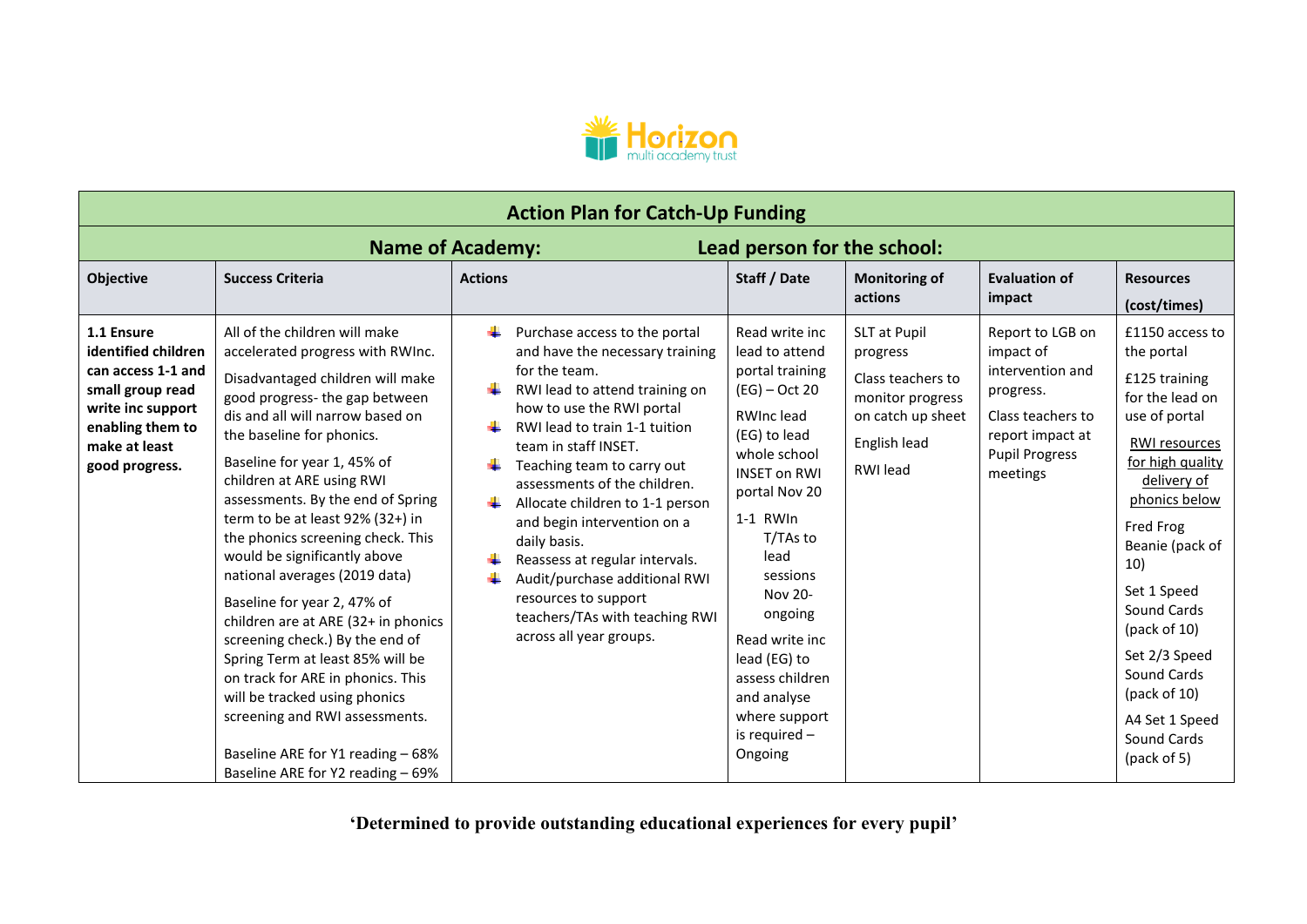

| <b>Action Plan for Catch-Up Funding</b>                                                      |                                                                                                                                                                                                                                                                                                                                                                                                                                                                                                                                                                                                                                                                           |                                                                                                                                                                                                                                                                                                                                                                                                                              |                                                                                                                                                                                                                                                                                          |                                                                                  |                                                                                         |                                                                                                                                                                                                                                                                                                  |  |
|----------------------------------------------------------------------------------------------|---------------------------------------------------------------------------------------------------------------------------------------------------------------------------------------------------------------------------------------------------------------------------------------------------------------------------------------------------------------------------------------------------------------------------------------------------------------------------------------------------------------------------------------------------------------------------------------------------------------------------------------------------------------------------|------------------------------------------------------------------------------------------------------------------------------------------------------------------------------------------------------------------------------------------------------------------------------------------------------------------------------------------------------------------------------------------------------------------------------|------------------------------------------------------------------------------------------------------------------------------------------------------------------------------------------------------------------------------------------------------------------------------------------|----------------------------------------------------------------------------------|-----------------------------------------------------------------------------------------|--------------------------------------------------------------------------------------------------------------------------------------------------------------------------------------------------------------------------------------------------------------------------------------------------|--|
| Lead person for the school:<br><b>Name of Academy:</b>                                       |                                                                                                                                                                                                                                                                                                                                                                                                                                                                                                                                                                                                                                                                           |                                                                                                                                                                                                                                                                                                                                                                                                                              |                                                                                                                                                                                                                                                                                          |                                                                                  |                                                                                         |                                                                                                                                                                                                                                                                                                  |  |
| <b>Objective</b><br>1.1 Ensure<br>identified children<br>can access 1-1 and                  | <b>Success Criteria</b><br>All of the children will make<br>accelerated progress with RWInc.<br>Disadvantaged children will make                                                                                                                                                                                                                                                                                                                                                                                                                                                                                                                                          | <b>Actions</b><br>Purchase access to the portal<br>and have the necessary training<br>for the team.                                                                                                                                                                                                                                                                                                                          | Staff / Date<br>Read write inc<br>lead to attend<br>portal training                                                                                                                                                                                                                      | <b>Monitoring of</b><br>actions<br>SLT at Pupil<br>progress<br>Class teachers to | <b>Evaluation of</b><br>impact<br>Report to LGB on<br>impact of<br>intervention and     | <b>Resources</b><br>(cost/times)<br>£1150 access to<br>the portal<br>£125 training                                                                                                                                                                                                               |  |
| small group read<br>write inc support<br>enabling them to<br>make at least<br>good progress. | good progress- the gap between<br>dis and all will narrow based on<br>the baseline for phonics.<br>Baseline for year 1, 45% of<br>children at ARE using RWI<br>assessments. By the end of Spring<br>term to be at least 92% (32+) in<br>the phonics screening check. This<br>would be significantly above<br>national averages (2019 data)<br>Baseline for year 2, 47% of<br>children are at ARE (32+ in phonics<br>screening check.) By the end of<br>Spring Term at least 85% will be<br>on track for ARE in phonics. This<br>will be tracked using phonics<br>screening and RWI assessments.<br>Baseline ARE for Y1 reading - 68%<br>Baseline ARE for Y2 reading - 69% | RWI lead to attend training on<br>how to use the RWI portal<br>RWI lead to train 1-1 tuition<br>team in staff INSET.<br>Teaching team to carry out<br>assessments of the children.<br>Allocate children to 1-1 person<br>and begin intervention on a<br>daily basis.<br>Reassess at regular intervals.<br>Audit/purchase additional RWI<br>resources to support<br>teachers/TAs with teaching RWI<br>across all year groups. | $(EG)$ – Oct 20<br>RWInc lead<br>(EG) to lead<br>whole school<br><b>INSET on RWI</b><br>portal Nov 20<br>1-1 RWIn<br>T/TAs to<br>lead<br>sessions<br>Nov 20-<br>ongoing<br>Read write inc<br>lead (EG) to<br>assess children<br>and analyse<br>where support<br>is required -<br>Ongoing | monitor progress<br>on catch up sheet<br>English lead<br>RWI lead                | progress.<br>Class teachers to<br>report impact at<br><b>Pupil Progress</b><br>meetings | for the lead on<br>use of portal<br>RWI resources<br>for high quality<br>delivery of<br>phonics below<br>Fred Frog<br>Beanie (pack of<br>10)<br>Set 1 Speed<br>Sound Cards<br>(pack of $10$ )<br>Set 2/3 Speed<br>Sound Cards<br>(pack of $10$ )<br>A4 Set 1 Speed<br>Sound Cards<br>(pack of 5) |  |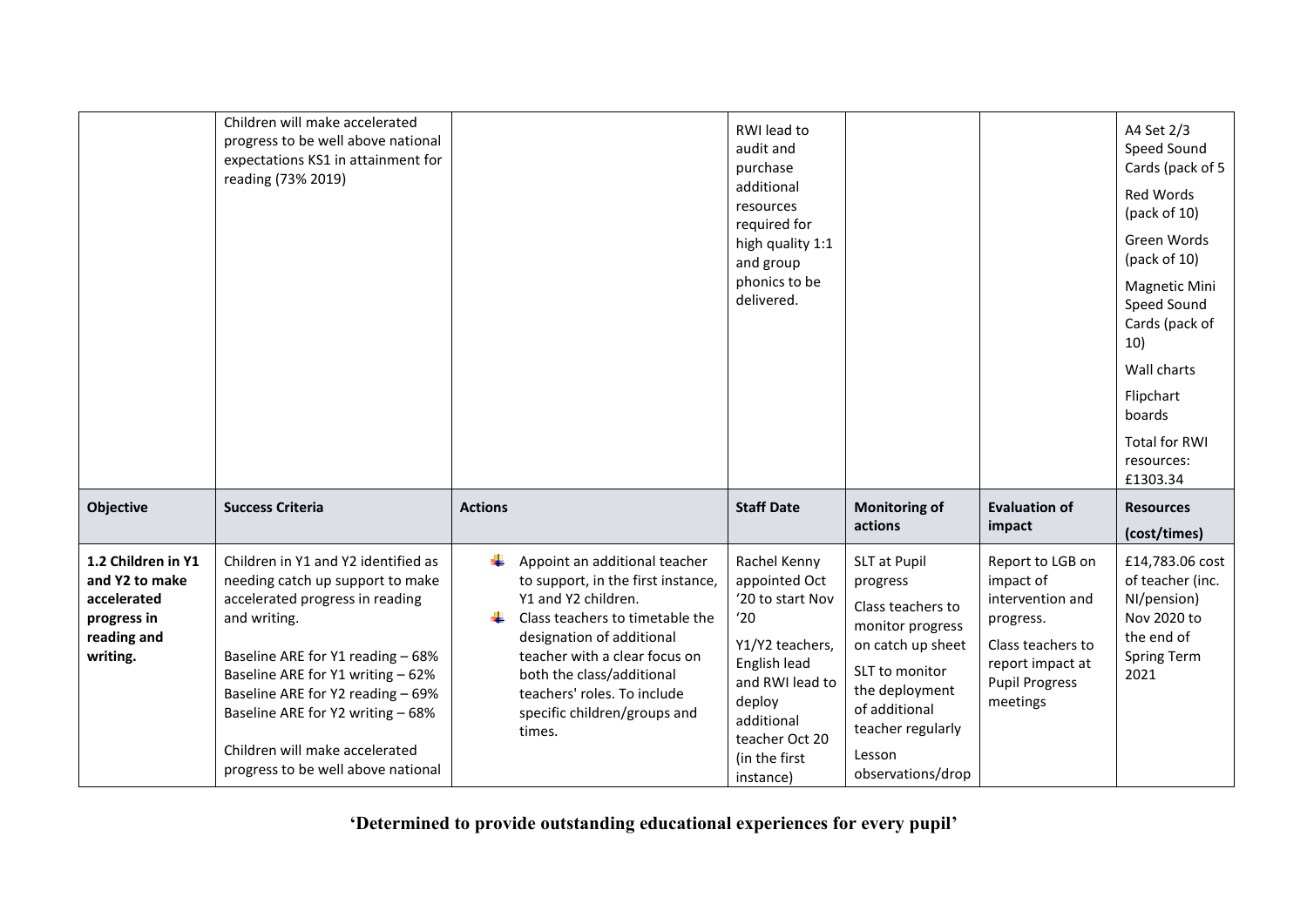|                                                                                               | Children will make accelerated<br>progress to be well above national<br>expectations KS1 in attainment for<br>reading (73% 2019)                                                                                                                                                                                                                       |                                                                                                                                                                                                                                                                                                         | RWI lead to<br>audit and<br>purchase<br>additional<br>resources<br>required for<br>high quality 1:1<br>and group<br>phonics to be<br>delivered.                                        |                                                                                                                                                                                                 |                                                                                                                                              | A4 Set 2/3<br>Speed Sound<br>Cards (pack of 5<br>Red Words<br>(pack of 10)<br>Green Words<br>(pack of $10$ )<br><b>Magnetic Mini</b><br>Speed Sound<br>Cards (pack of<br>10)<br>Wall charts<br>Flipchart<br>boards<br><b>Total for RWI</b><br>resources:<br>£1303.34 |
|-----------------------------------------------------------------------------------------------|--------------------------------------------------------------------------------------------------------------------------------------------------------------------------------------------------------------------------------------------------------------------------------------------------------------------------------------------------------|---------------------------------------------------------------------------------------------------------------------------------------------------------------------------------------------------------------------------------------------------------------------------------------------------------|----------------------------------------------------------------------------------------------------------------------------------------------------------------------------------------|-------------------------------------------------------------------------------------------------------------------------------------------------------------------------------------------------|----------------------------------------------------------------------------------------------------------------------------------------------|----------------------------------------------------------------------------------------------------------------------------------------------------------------------------------------------------------------------------------------------------------------------|
| Objective                                                                                     | <b>Success Criteria</b>                                                                                                                                                                                                                                                                                                                                | <b>Actions</b>                                                                                                                                                                                                                                                                                          | <b>Staff Date</b>                                                                                                                                                                      | <b>Monitoring of</b><br>actions                                                                                                                                                                 | <b>Evaluation of</b><br>impact                                                                                                               | <b>Resources</b><br>(cost/times)                                                                                                                                                                                                                                     |
| 1.2 Children in Y1<br>and Y2 to make<br>accelerated<br>progress in<br>reading and<br>writing. | Children in Y1 and Y2 identified as<br>needing catch up support to make<br>accelerated progress in reading<br>and writing.<br>Baseline ARE for Y1 reading - 68%<br>Baseline ARE for Y1 writing - 62%<br>Baseline ARE for Y2 reading - 69%<br>Baseline ARE for Y2 writing - 68%<br>Children will make accelerated<br>progress to be well above national | ۰.<br>Appoint an additional teacher<br>to support, in the first instance,<br>Y1 and Y2 children.<br>Class teachers to timetable the<br>designation of additional<br>teacher with a clear focus on<br>both the class/additional<br>teachers' roles. To include<br>specific children/groups and<br>times. | Rachel Kenny<br>appointed Oct<br>'20 to start Nov<br>'20<br>Y1/Y2 teachers,<br>English lead<br>and RWI lead to<br>deploy<br>additional<br>teacher Oct 20<br>(in the first<br>instance) | SLT at Pupil<br>progress<br>Class teachers to<br>monitor progress<br>on catch up sheet<br>SLT to monitor<br>the deployment<br>of additional<br>teacher regularly<br>Lesson<br>observations/drop | Report to LGB on<br>impact of<br>intervention and<br>progress.<br>Class teachers to<br>report impact at<br><b>Pupil Progress</b><br>meetings | £14,783.06 cost<br>of teacher (inc.<br>NI/pension)<br>Nov 2020 to<br>the end of<br><b>Spring Term</b><br>2021                                                                                                                                                        |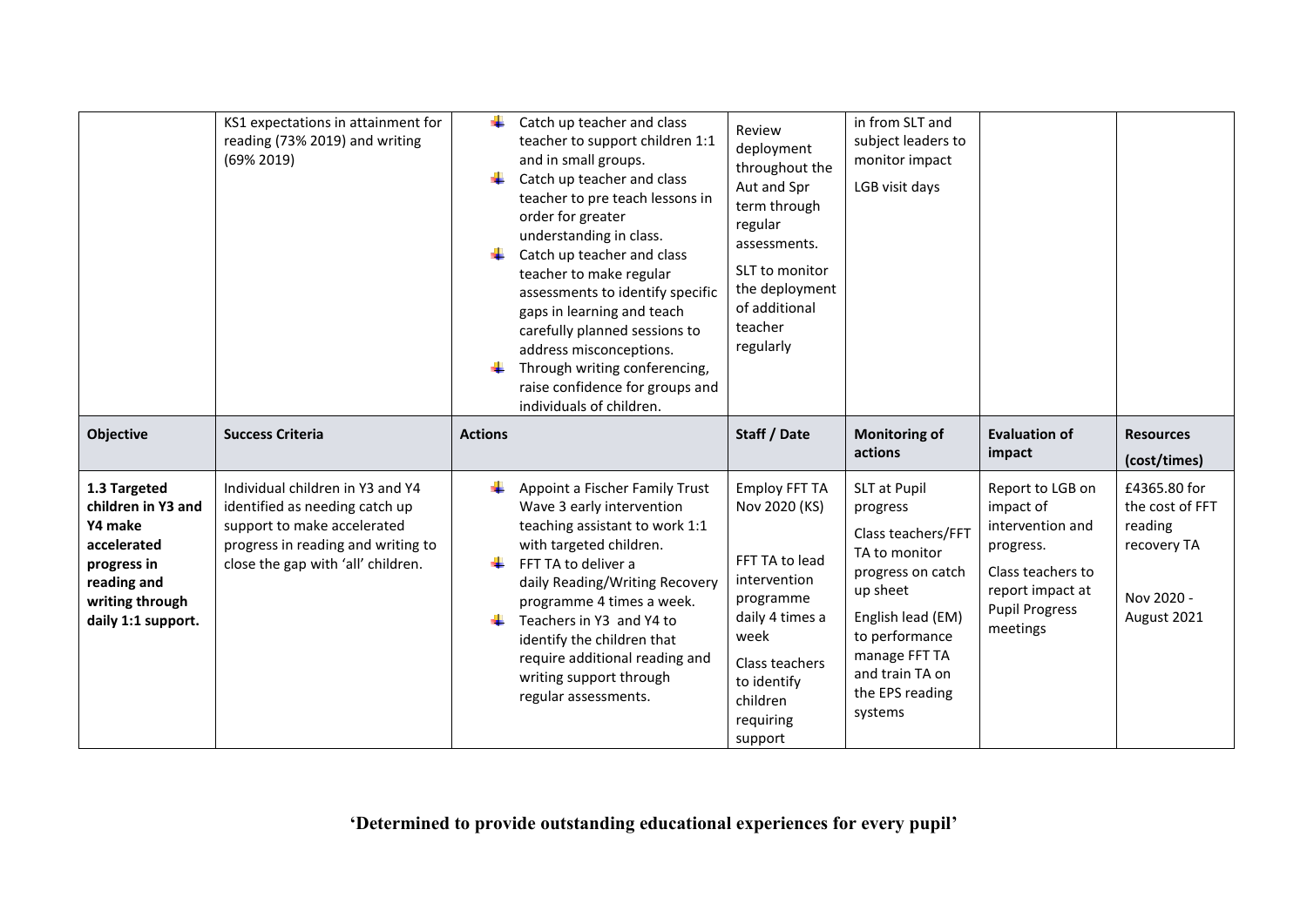|                                                                                                                                     | KS1 expectations in attainment for<br>reading (73% 2019) and writing<br>(69% 2019)                                                                                            | ÷              | Catch up teacher and class<br>teacher to support children 1:1<br>and in small groups.<br>Catch up teacher and class<br>teacher to pre teach lessons in<br>order for greater<br>understanding in class.<br>Catch up teacher and class<br>teacher to make regular<br>assessments to identify specific<br>gaps in learning and teach<br>carefully planned sessions to<br>address misconceptions.<br>Through writing conferencing,<br>raise confidence for groups and<br>individuals of children. | Review<br>deployment<br>throughout the<br>Aut and Spr<br>term through<br>regular<br>assessments.<br>SLT to monitor<br>the deployment<br>of additional<br>teacher<br>regularly        | in from SLT and<br>subject leaders to<br>monitor impact<br>LGB visit days                                                                                                                                 |                                                                                                                                              |                                                                                        |
|-------------------------------------------------------------------------------------------------------------------------------------|-------------------------------------------------------------------------------------------------------------------------------------------------------------------------------|----------------|-----------------------------------------------------------------------------------------------------------------------------------------------------------------------------------------------------------------------------------------------------------------------------------------------------------------------------------------------------------------------------------------------------------------------------------------------------------------------------------------------|--------------------------------------------------------------------------------------------------------------------------------------------------------------------------------------|-----------------------------------------------------------------------------------------------------------------------------------------------------------------------------------------------------------|----------------------------------------------------------------------------------------------------------------------------------------------|----------------------------------------------------------------------------------------|
| Objective                                                                                                                           | <b>Success Criteria</b>                                                                                                                                                       | <b>Actions</b> |                                                                                                                                                                                                                                                                                                                                                                                                                                                                                               | Staff / Date                                                                                                                                                                         | <b>Monitoring of</b><br>actions                                                                                                                                                                           | <b>Evaluation of</b><br>impact                                                                                                               | <b>Resources</b><br>(cost/times)                                                       |
| 1.3 Targeted<br>children in Y3 and<br>Y4 make<br>accelerated<br>progress in<br>reading and<br>writing through<br>daily 1:1 support. | Individual children in Y3 and Y4<br>identified as needing catch up<br>support to make accelerated<br>progress in reading and writing to<br>close the gap with 'all' children. |                | Appoint a Fischer Family Trust<br>Wave 3 early intervention<br>teaching assistant to work 1:1<br>with targeted children.<br>FFT TA to deliver a<br>daily Reading/Writing Recovery<br>programme 4 times a week.<br>Teachers in Y3 and Y4 to<br>identify the children that<br>require additional reading and<br>writing support through<br>regular assessments.                                                                                                                                 | <b>Employ FFT TA</b><br>Nov 2020 (KS)<br>FFT TA to lead<br>intervention<br>programme<br>daily 4 times a<br>week<br>Class teachers<br>to identify<br>children<br>requiring<br>support | SLT at Pupil<br>progress<br>Class teachers/FFT<br>TA to monitor<br>progress on catch<br>up sheet<br>English lead (EM)<br>to performance<br>manage FFT TA<br>and train TA on<br>the EPS reading<br>systems | Report to LGB on<br>impact of<br>intervention and<br>progress.<br>Class teachers to<br>report impact at<br><b>Pupil Progress</b><br>meetings | £4365.80 for<br>the cost of FFT<br>reading<br>recovery TA<br>Nov 2020 -<br>August 2021 |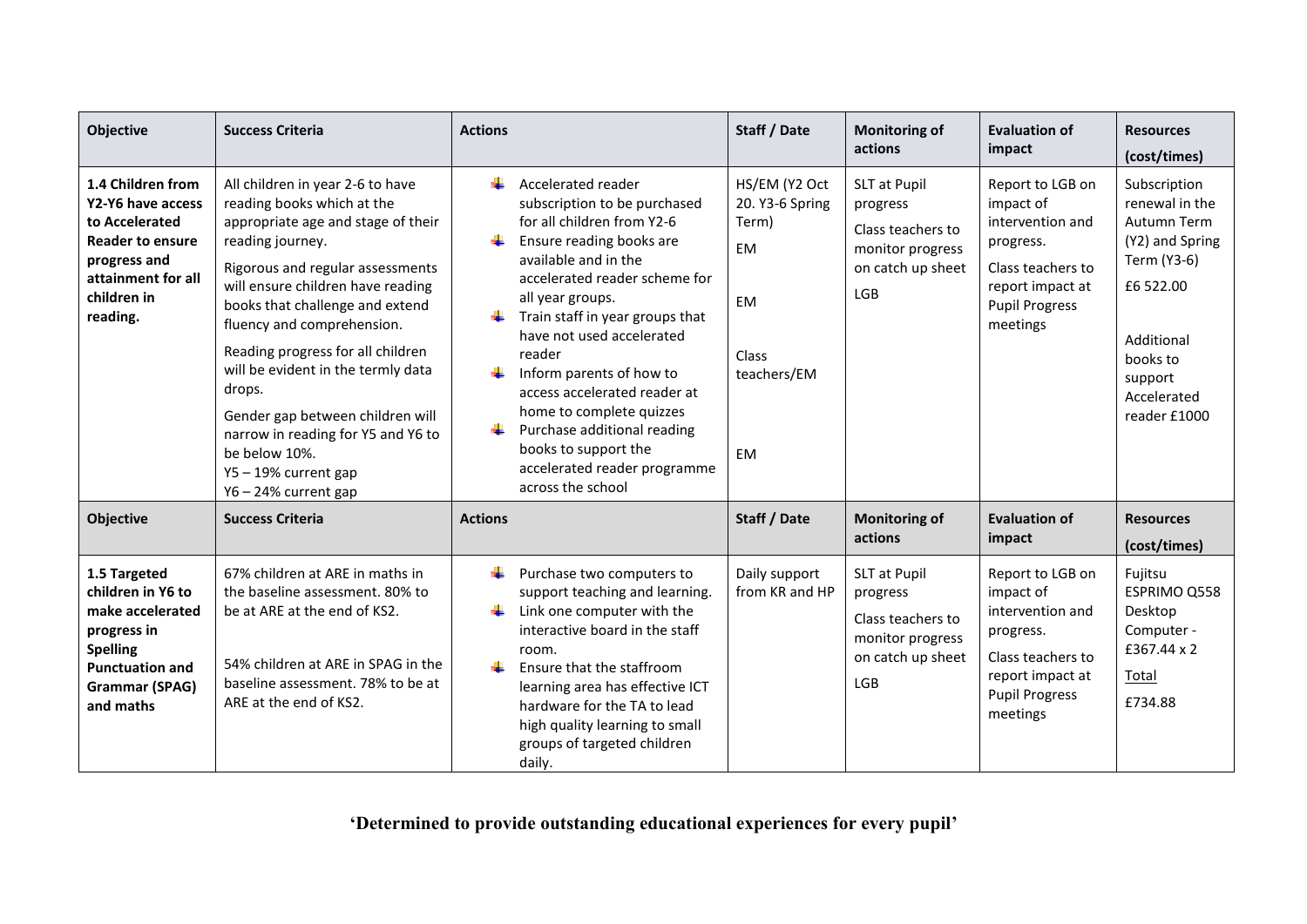| Objective                                                                                                                                            | <b>Success Criteria</b>                                                                                                                                                                                                                                                                                                                                                                                                                                                                        | <b>Actions</b>                                                                                                                                                                                                                                                                                                                                                                                                                                                          | Staff / Date                                                                                      | <b>Monitoring of</b><br>actions                                                                      | <b>Evaluation of</b><br>impact                                                                                                               | <b>Resources</b><br>(cost/times)                                                                                                                                 |
|------------------------------------------------------------------------------------------------------------------------------------------------------|------------------------------------------------------------------------------------------------------------------------------------------------------------------------------------------------------------------------------------------------------------------------------------------------------------------------------------------------------------------------------------------------------------------------------------------------------------------------------------------------|-------------------------------------------------------------------------------------------------------------------------------------------------------------------------------------------------------------------------------------------------------------------------------------------------------------------------------------------------------------------------------------------------------------------------------------------------------------------------|---------------------------------------------------------------------------------------------------|------------------------------------------------------------------------------------------------------|----------------------------------------------------------------------------------------------------------------------------------------------|------------------------------------------------------------------------------------------------------------------------------------------------------------------|
| 1.4 Children from<br>Y2-Y6 have access<br>to Accelerated<br><b>Reader to ensure</b><br>progress and<br>attainment for all<br>children in<br>reading. | All children in year 2-6 to have<br>reading books which at the<br>appropriate age and stage of their<br>reading journey.<br>Rigorous and regular assessments<br>will ensure children have reading<br>books that challenge and extend<br>fluency and comprehension.<br>Reading progress for all children<br>will be evident in the termly data<br>drops.<br>Gender gap between children will<br>narrow in reading for Y5 and Y6 to<br>be below 10%.<br>Y5-19% current gap<br>Y6-24% current gap | Accelerated reader<br>subscription to be purchased<br>for all children from Y2-6<br>Ensure reading books are<br>available and in the<br>accelerated reader scheme for<br>all year groups.<br>Train staff in year groups that<br>have not used accelerated<br>reader<br>Inform parents of how to<br>access accelerated reader at<br>home to complete quizzes<br>Purchase additional reading<br>books to support the<br>accelerated reader programme<br>across the school | HS/EM (Y2 Oct<br>20. Y3-6 Spring<br>Term)<br>EM<br><b>EM</b><br>Class<br>teachers/EM<br><b>EM</b> | SLT at Pupil<br>progress<br>Class teachers to<br>monitor progress<br>on catch up sheet<br><b>LGB</b> | Report to LGB on<br>impact of<br>intervention and<br>progress.<br>Class teachers to<br>report impact at<br><b>Pupil Progress</b><br>meetings | Subscription<br>renewal in the<br>Autumn Term<br>(Y2) and Spring<br>Term (Y3-6)<br>£6 522.00<br>Additional<br>books to<br>support<br>Accelerated<br>reader £1000 |
| Objective                                                                                                                                            | <b>Success Criteria</b>                                                                                                                                                                                                                                                                                                                                                                                                                                                                        | <b>Actions</b>                                                                                                                                                                                                                                                                                                                                                                                                                                                          | Staff / Date                                                                                      | <b>Monitoring of</b><br>actions                                                                      | <b>Evaluation of</b><br>impact                                                                                                               | <b>Resources</b><br>(cost/times)                                                                                                                                 |
| 1.5 Targeted<br>children in Y6 to<br>make accelerated<br>progress in<br><b>Spelling</b><br><b>Punctuation and</b><br>Grammar (SPAG)<br>and maths     | 67% children at ARE in maths in<br>the baseline assessment. 80% to<br>be at ARE at the end of KS2.<br>54% children at ARE in SPAG in the<br>baseline assessment. 78% to be at<br>ARE at the end of KS2.                                                                                                                                                                                                                                                                                        | Purchase two computers to<br>support teaching and learning.<br>Link one computer with the<br>interactive board in the staff<br>room.<br>÷.<br>Ensure that the staffroom<br>learning area has effective ICT<br>hardware for the TA to lead<br>high quality learning to small<br>groups of targeted children<br>daily.                                                                                                                                                    | Daily support<br>from KR and HP                                                                   | SLT at Pupil<br>progress<br>Class teachers to<br>monitor progress<br>on catch up sheet<br><b>LGB</b> | Report to LGB on<br>impact of<br>intervention and<br>progress.<br>Class teachers to<br>report impact at<br><b>Pupil Progress</b><br>meetings | Fujitsu<br>ESPRIMO Q558<br>Desktop<br>Computer -<br>£367.44 x 2<br>Total<br>£734.88                                                                              |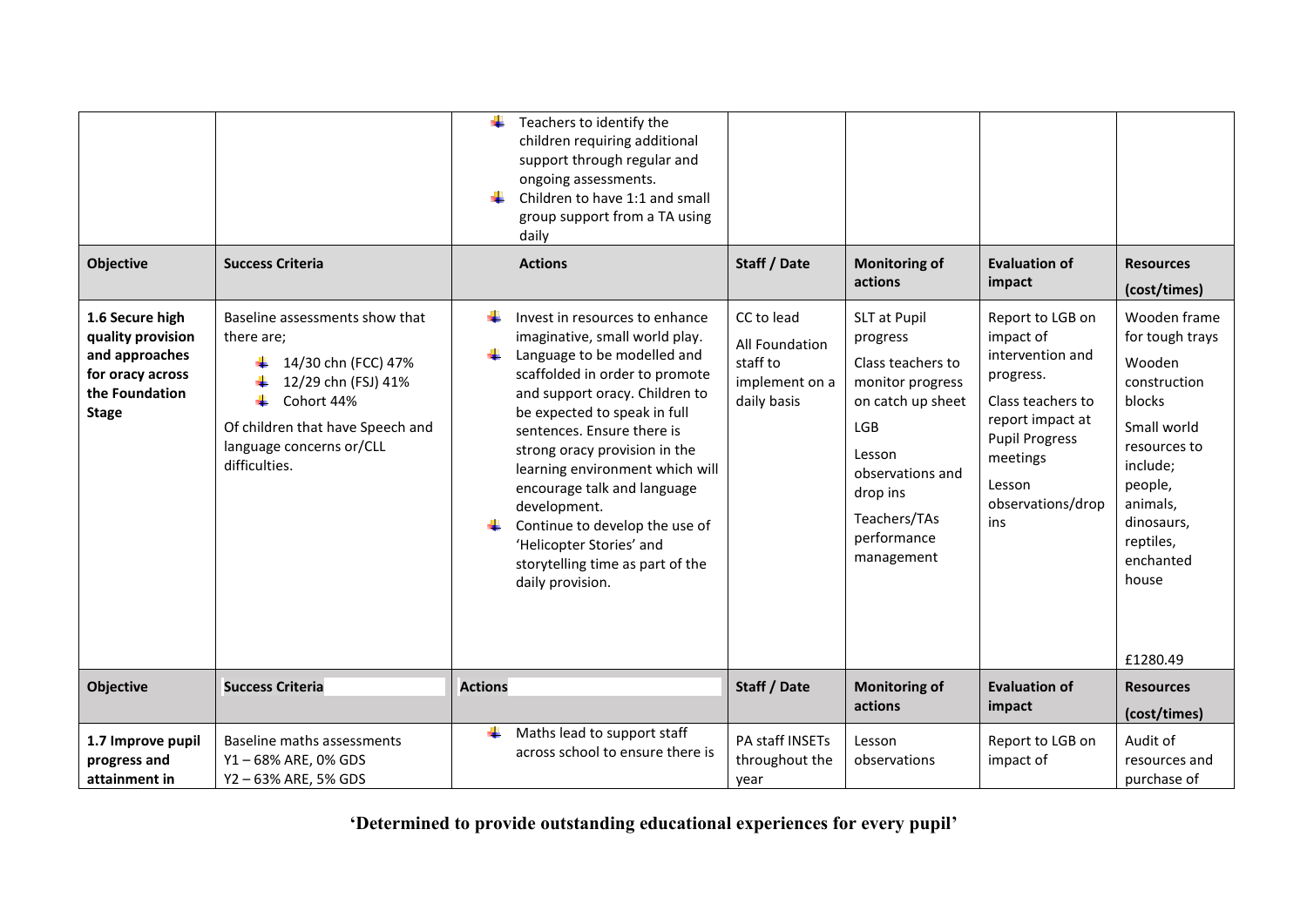| Objective                                                                                                    | <b>Success Criteria</b>                                                                                                                                                                   | Teachers to identify the<br>children requiring additional<br>support through regular and<br>ongoing assessments.<br>Children to have 1:1 and small<br>group support from a TA using<br>daily<br><b>Actions</b>                                                                                                                                                                                                                                                                       | Staff / Date                                                              | <b>Monitoring of</b>                                                                                                                                                                 | <b>Evaluation of</b>                                                                                                                                                               | <b>Resources</b>                                                                                                                                                                                   |
|--------------------------------------------------------------------------------------------------------------|-------------------------------------------------------------------------------------------------------------------------------------------------------------------------------------------|--------------------------------------------------------------------------------------------------------------------------------------------------------------------------------------------------------------------------------------------------------------------------------------------------------------------------------------------------------------------------------------------------------------------------------------------------------------------------------------|---------------------------------------------------------------------------|--------------------------------------------------------------------------------------------------------------------------------------------------------------------------------------|------------------------------------------------------------------------------------------------------------------------------------------------------------------------------------|----------------------------------------------------------------------------------------------------------------------------------------------------------------------------------------------------|
|                                                                                                              |                                                                                                                                                                                           |                                                                                                                                                                                                                                                                                                                                                                                                                                                                                      |                                                                           | actions                                                                                                                                                                              | impact                                                                                                                                                                             | (cost/times)                                                                                                                                                                                       |
| 1.6 Secure high<br>quality provision<br>and approaches<br>for oracy across<br>the Foundation<br><b>Stage</b> | Baseline assessments show that<br>there are;<br>14/30 chn (FCC) 47%<br>12/29 chn (FSJ) 41%<br>Cohort 44%<br>Of children that have Speech and<br>language concerns or/CLL<br>difficulties. | ÷<br>Invest in resources to enhance<br>imaginative, small world play.<br>٠<br>Language to be modelled and<br>scaffolded in order to promote<br>and support oracy. Children to<br>be expected to speak in full<br>sentences. Ensure there is<br>strong oracy provision in the<br>learning environment which will<br>encourage talk and language<br>development.<br>Continue to develop the use of<br>'Helicopter Stories' and<br>storytelling time as part of the<br>daily provision. | CC to lead<br>All Foundation<br>staff to<br>implement on a<br>daily basis | SLT at Pupil<br>progress<br>Class teachers to<br>monitor progress<br>on catch up sheet<br>LGB<br>Lesson<br>observations and<br>drop ins<br>Teachers/TAs<br>performance<br>management | Report to LGB on<br>impact of<br>intervention and<br>progress.<br>Class teachers to<br>report impact at<br><b>Pupil Progress</b><br>meetings<br>Lesson<br>observations/drop<br>ins | Wooden frame<br>for tough trays<br>Wooden<br>construction<br>blocks<br>Small world<br>resources to<br>include;<br>people,<br>animals,<br>dinosaurs,<br>reptiles,<br>enchanted<br>house<br>£1280.49 |
| Objective                                                                                                    | <b>Success Criteria</b>                                                                                                                                                                   | <b>Actions</b>                                                                                                                                                                                                                                                                                                                                                                                                                                                                       | Staff / Date                                                              | <b>Monitoring of</b>                                                                                                                                                                 | <b>Evaluation of</b>                                                                                                                                                               | <b>Resources</b>                                                                                                                                                                                   |
|                                                                                                              |                                                                                                                                                                                           |                                                                                                                                                                                                                                                                                                                                                                                                                                                                                      |                                                                           | actions                                                                                                                                                                              | impact                                                                                                                                                                             | (cost/times)                                                                                                                                                                                       |
| 1.7 Improve pupil<br>progress and<br>attainment in                                                           | Baseline maths assessments<br>Y1-68% ARE, 0% GDS<br>Y2-63% ARE, 5% GDS                                                                                                                    | Maths lead to support staff<br>÷<br>across school to ensure there is                                                                                                                                                                                                                                                                                                                                                                                                                 | PA staff INSETs<br>throughout the<br>year                                 | Lesson<br>observations                                                                                                                                                               | Report to LGB on<br>impact of                                                                                                                                                      | Audit of<br>resources and<br>purchase of                                                                                                                                                           |